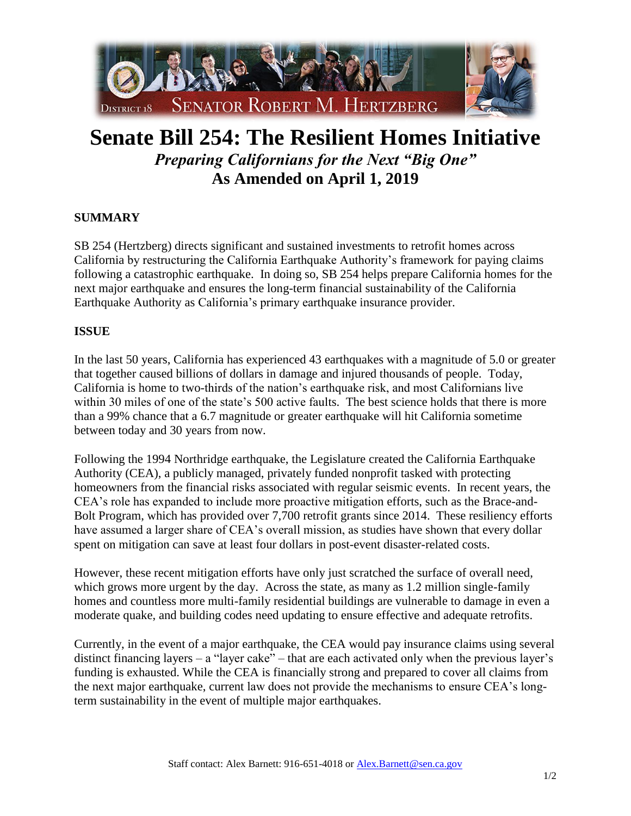

## **Senate Bill 254: The Resilient Homes Initiative** *Preparing Californians for the Next "Big One"* **As Amended on April 1, 2019**

## **SUMMARY**

SB 254 (Hertzberg) directs significant and sustained investments to retrofit homes across California by restructuring the California Earthquake Authority's framework for paying claims following a catastrophic earthquake. In doing so, SB 254 helps prepare California homes for the next major earthquake and ensures the long-term financial sustainability of the California Earthquake Authority as California's primary earthquake insurance provider.

## **ISSUE**

In the last 50 years, California has experienced 43 earthquakes with a magnitude of 5.0 or greater that together caused billions of dollars in damage and injured thousands of people. Today, California is home to two-thirds of the nation's earthquake risk, and most Californians live within 30 miles of one of the state's 500 active faults. The best science holds that there is more than a 99% chance that a 6.7 magnitude or greater earthquake will hit California sometime between today and 30 years from now.

Following the 1994 Northridge earthquake, the Legislature created the California Earthquake Authority (CEA), a publicly managed, privately funded nonprofit tasked with protecting homeowners from the financial risks associated with regular seismic events. In recent years, the CEA's role has expanded to include more proactive mitigation efforts, such as the Brace-and-Bolt Program, which has provided over 7,700 retrofit grants since 2014. These resiliency efforts have assumed a larger share of CEA's overall mission, as studies have shown that every dollar spent on mitigation can save at least four dollars in post-event disaster-related costs.

However, these recent mitigation efforts have only just scratched the surface of overall need, which grows more urgent by the day. Across the state, as many as 1.2 million single-family homes and countless more multi-family residential buildings are vulnerable to damage in even a moderate quake, and building codes need updating to ensure effective and adequate retrofits.

Currently, in the event of a major earthquake, the CEA would pay insurance claims using several distinct financing layers – a "layer cake" – that are each activated only when the previous layer's funding is exhausted. While the CEA is financially strong and prepared to cover all claims from the next major earthquake, current law does not provide the mechanisms to ensure CEA's longterm sustainability in the event of multiple major earthquakes.